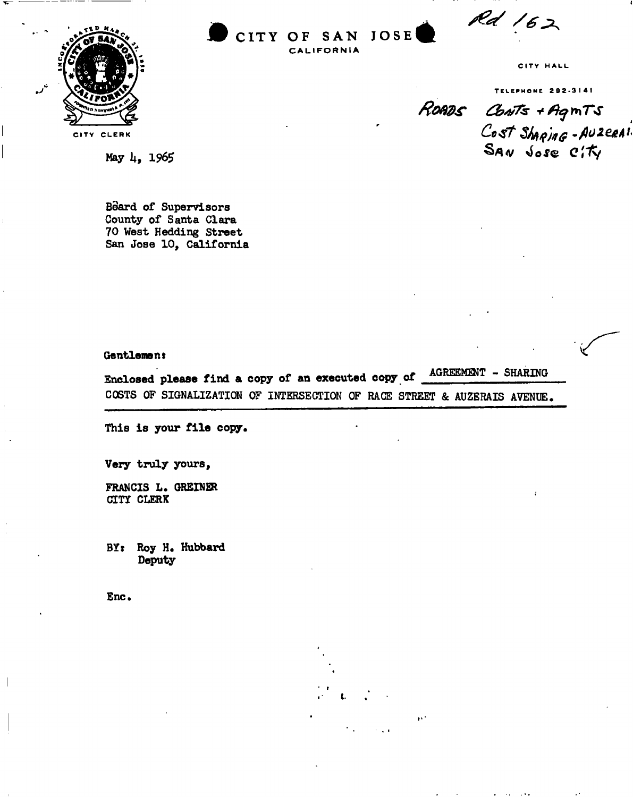Rd 162



**CIT Y OF SA N JOS E £ CALIFORNIA** 

CITY HALL

TELEPHONE 202-3141<br>**ROADS** CONTS + AgmTS<br>Cost Shaping - AUZERAI

**X** 

**May k, 1965** 

**Board of Supervisors County of Santa Clara 70 West Hedding Street San Jose 10, California** 

### **Gentlement**

**Enclosed please find a copy of an executed copy of AGREEMENT - SHARING COSTS OF SIGNALIZATIGN OF INTERSECTION OF RACE STREET & AUZERAIS AVENUE,** 

**This is your file copy,** 

**Very truly yours,** 

**FRANCIS L . GRBINER CITY CLERK** 

**BYr Roy H. Hubbard Deputy** 

**Enc.**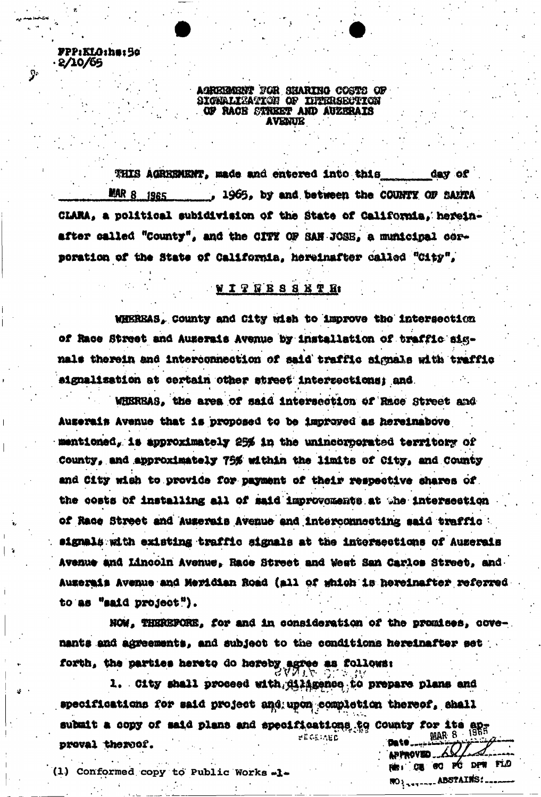AGREEMENT FOR SHARING COSTS OF SIGNALIZATION OF INTERSECTION OF RACE STREET AND AUZERAIS **AVENUE** 

FPP:ELO:he:50

 $.2/10/65$ 

 $\mathbf{P}$ 

THIS AGREEMENT, made and entered into this day of **MAR 8 1965** , 1965, by and between the COUNTY OF BANTA CLARA, a political subidivision of the State of California, hereinafter called "County", and the CITY OF SAN JOSE, a municipal corporation of the State of California, hereinafter called "City",

# **WITTESSEXTH**

WHEREAS, County and City wish to improve the intersection of Race Street and Auserais Avenue by installation of traffic signals therein and interconnection of said traffic signals with traffic aignalization at certain other street intersections; and

WHEREAS, the area of said intersection of Race Street and Auserain Avenue that is proposed to be improved as hereinabove mentioned, is approximately 25% in the unincorporated territory of County, and approximately 75% within the limits of City, and County and City wish to provide for payment of their respective shares of the costs of installing all of said improvements at the intersection of Race Street and Auserais Avenue and interconnecting said traffic signals with existing traffic signals at the intersections of Auzerais Avenue and Lincoln Avenue, Race Street and West San Carlos Street, and Auzerais Avenue and Meridian Road (all of which is hereinafter referred to as "said project").

NOW, THEREFORE, for and in consideration of the promises, covenants and agreements, and subject to the conditions hereinafter set forth, the parties hereto do hereby agree as follows:

1. City shall proceed with dilagence to prepare plans and specifications for said project and upon completion thereof, shall submit a copy of said plans and specifications to County for its ap-MAR 8 · **BEGEINED** 'Bate proval thereof. APPROVED A

REI DE GO PÓ DPW FLO

**NO LANDARE ABSTAINS:** 

(1) Conformed copy to Public Works .1.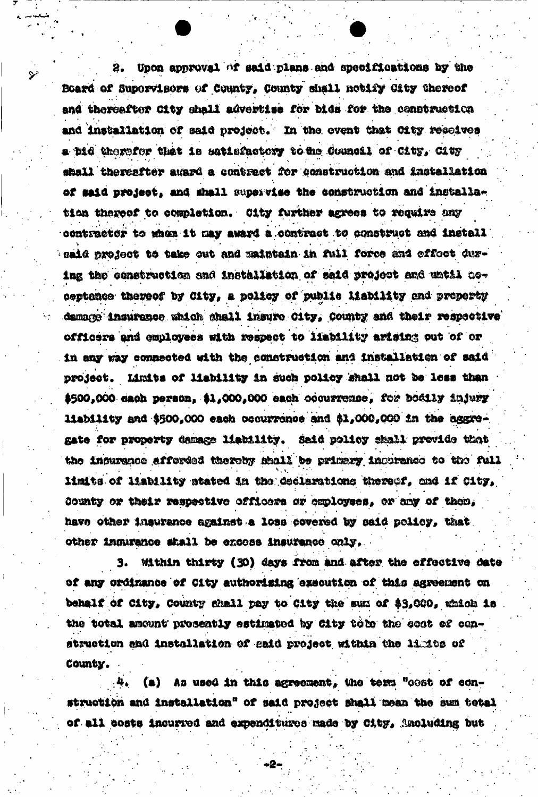Upon approval of said plans and specifications by the 2. Board of Supervisers of County, County shall netify City thereof and thereafter City shall advertise for bids for the construction and installation of said project. In the event that City resolves a bid therefor that is satisfactory to the Council of City, City shall thereafter award a contract for construction and installation of said project, and shall supervise the construction and installation thereof to completion. City further agrees to require any contractor to when it may award a contract to construct and install caid project to take out and maintain in full force and effect during the construction and installation of said project and until noceptance thereof by City, a policy of public liability and property damage insurance which shall insure City, County and their respective officers and employees with respect to liability arising out of or in any way connected with the construction and installation of said project. Limits of liability in such policy shall not be less than \$500,000 each person, \$1,000,000 each occurrence, for bodily injury liability and \$500,000 each occurrence and \$1,000,000 in the aggregate for property damage liebility. Said policy shall provide that the incurrence afferded thereby shall be primary incurance to the full limits of liability stated in the declarations thereof, and if City, County or their respective officers or employees, or any of them, have other insurance against a loss covered by said policy, that other indurance shall be encess insurance only.

⋗

Within thirty (30) days from and after the effective date З. of any ordinance of City authorising execution of this agreement on behalf of City, County shall pay to City the sum of \$3,000, which is the total amount prosently estimated by City tole the cost of construction and installation of said project within the limits of County.

As used in this agreement, the term "cost of con-(a) struction and installation" of said project shall mean the sum total of all costs incurred and expenditures made by City, Anoluding but

-2-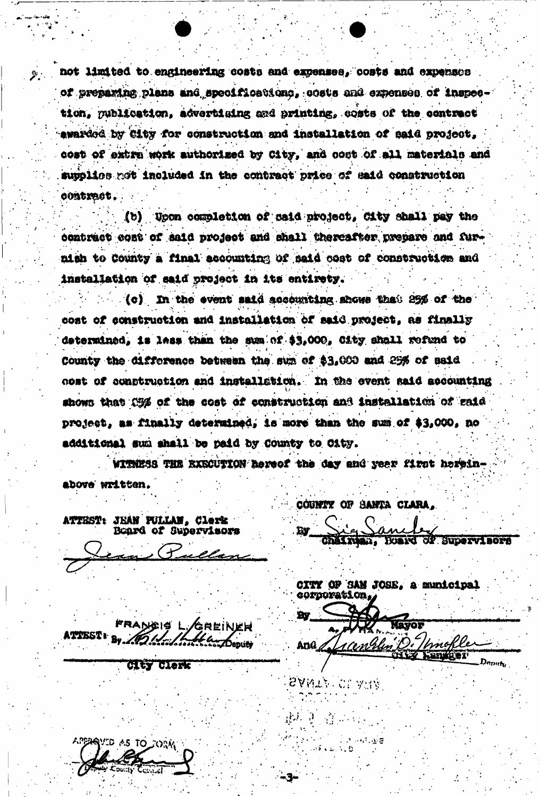not limited to engineering costs and expenses, costs and expenses of preparing plans and specifications, costs and expenses of inspection, publication, advertising and printing, costs of the centract awarded by City for construction and installation of said project, cost of extra work authorized by City, and cost of all materials and supplies not included in the contract price of said construction . Jostradoo

(b) Upon completion of said project, City shall pay the contract cost of said project and shall thereafter prepare and furnish to County a final accounting of said cost of construction and installation of said project in its entirety.

(c) In the event said accounting shows that 25% of the cost of construction and installation of said project, as finally determined, is less than the sum of \$3,000, City shall refund to County the difference between the sum of \$3,000 and 25% of said cost of construction and installation. In the event said accounting shows that C5% of the cost of construction and installation of raid project, as finally determined, is more than the sum of \$3,000, no additional sum shall be paid by County to City.

WITHESS THE RXECUTION hereof the day and year first hereinabove written.

ATTEST: JEAN FULLAN, Clerk<br>Board of Supervisors

**Clty Clerk** 

YID AS TO JORM

COUNTY OF SANTA CLARA,

**CP SUDORVIBORS** 

CITY OF SAN JOSE, a municipal corporation,

**By** Mayoz And pnokle

sant : Cl aur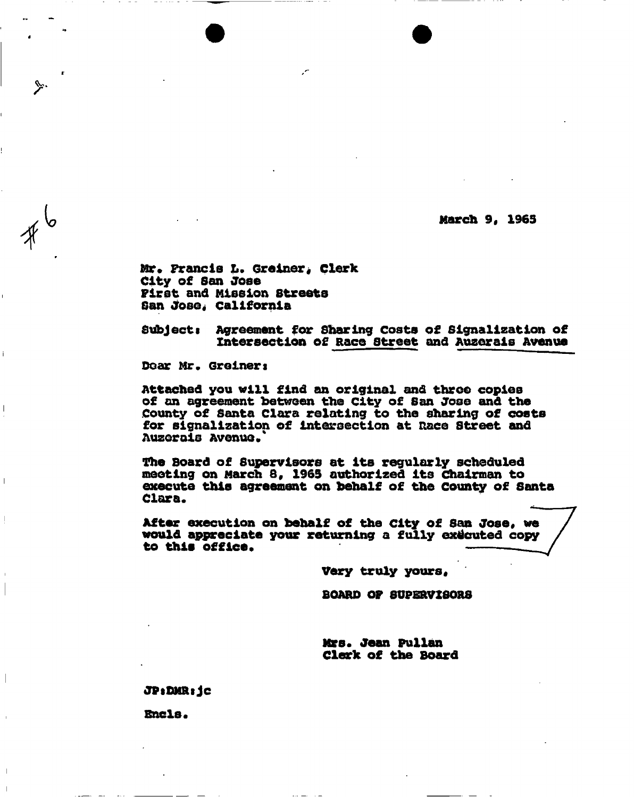**March 9, 1965** 

**Mr\* Francis L. Greiner, clerk City of San Jose First and Mission Streets**  San Jose, California

**Subjecti Agreement for Sharing Costs of Signallzation of**  Intersection of Race Street and Auzerais Avenue

Dear Mr. Greiner:

**Attached you will find an original and throe copies of an agreement between the City of San Jose and the County of Santa Clara relating to the sharing of costs for signallzation of intersection at Race street and Auzerois Avenue /** 

**Hie Board of supervisors at its regularly scheduled meeting on March 8, 1965 authorized its Chairman to execute this agreement on behalf of the County of Santa Clara.** 

**After execution on behalf of the city of San Jose, we would appreciate your returning a fully executed copy to this office.** 

**Very truly yours.** 

**BOARD OF SUPERVISORS** 

**Mrs. Jean Pullan Clerk of the Board** 

**JPtOMRijc** 

**Ends .**